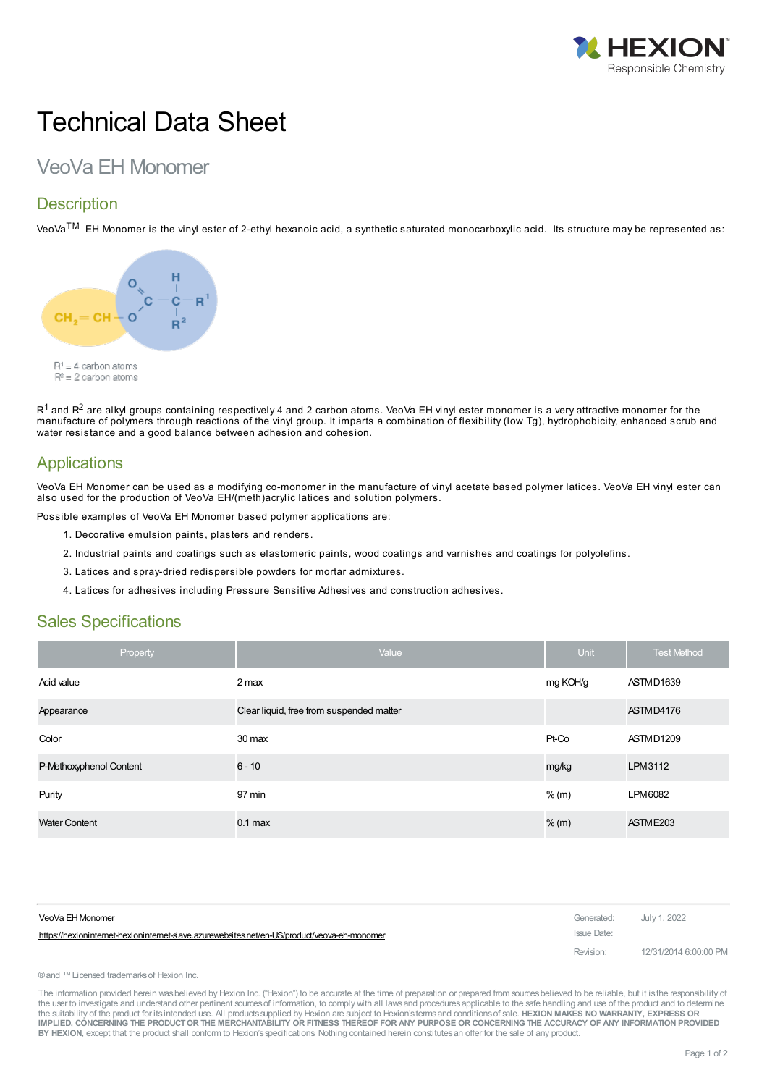

# Technical Data Sheet

# VeoVa EH Monomer

### **Description**

VeoVa<sup>TM</sup> EH Monomer is the vinyl ester of 2-ethyl hexanoic acid, a synthetic saturated monocarboxylic acid. Its structure may be represented as:



 $\mathsf{R}^1$  and  $\mathsf{R}^2$  are alkyl groups containing respectively 4 and 2 carbon atoms. VeoVa EH vinyl ester monomer is a very attractive monomer for the manufacture of polymers through reactions of the vinyl group. It imparts a combination of flexibility (low Tg), hydrophobicity, enhanced scrub and water resistance and a good balance between adhesion and cohesion.

## **Applications**

VeoVa EH Monomer can be used as a modifying co-monomer in the manufacture of vinyl acetate based polymer latices. VeoVa EH vinyl ester can also used for the production of VeoVa EH/(meth)acrylic latices and solution polymers.

Possible examples of VeoVa EH Monomer based polymer applications are:

- 1. Decorative emulsion paints, plasters and renders.
- 2. Industrial paints and coatings such as elastomeric paints, wood coatings and varnishes and coatings for polyolefins.
- 3. Latices and spray-dried redispersible powders for mortar admixtures.
- 4. Latices for adhesives including Pressure Sensitive Adhesives and construction adhesives.

#### Sales Specifications

| Property                | Value                                    | <b>Unit</b> | <b>Test Method</b>   |
|-------------------------|------------------------------------------|-------------|----------------------|
| Acid value              | 2 max                                    | mg KOH/g    | ASTMD1639            |
| Appearance              | Clear liquid, free from suspended matter |             | ASTMD4176            |
| Color                   | 30 max                                   | Pt-Co       | ASTMD1209            |
| P-Methoxyphenol Content | $6 - 10$                                 | mg/kg       | LPM3112              |
| Purity                  | 97 min                                   | % (m)       | LPM6082              |
| <b>Water Content</b>    | $0.1$ max                                | $%$ (m)     | ASTME <sub>203</sub> |

| VeoVa EH Monomer                                                                           | Generated:  | July 1, 2022          |
|--------------------------------------------------------------------------------------------|-------------|-----------------------|
| https://hexionintemet-hexionintemet-slave.azurewebsites.net/en-US/product/veova-eh-monomer | Issue Date: |                       |
|                                                                                            | Revision:   | 12/31/2014 6:00:00 PM |

®and ™Licensed trademarksof Hexion Inc.

The information provided herein was believed by Hexion Inc. ("Hexion") to be accurate at the time of preparation or prepared from sources believed to be reliable, but it is the responsibility of the user to investigate and understand other pertinent sources of information, to comply with all laws and procedures applicable to the safe handling and use of the product and to determine the suitability of the product for itsintended use. All productssupplied by Hexion are subject to Hexion'stermsand conditionsof sale. **HEXION MAKES NO WARRANTY, EXPRESS OR** IMPLIED, CONCERNING THE PRODUCT OR THE MERCHANTABILITY OR FITNESS THEREOF FOR ANY PURPOSE OR CONCERNING THE ACCURACY OF ANY INFORMATION PROVIDED **BY HEXION**, except that the product shall conform to Hexion'sspecifications. Nothing contained herein constitutesan offer for the sale of any product.